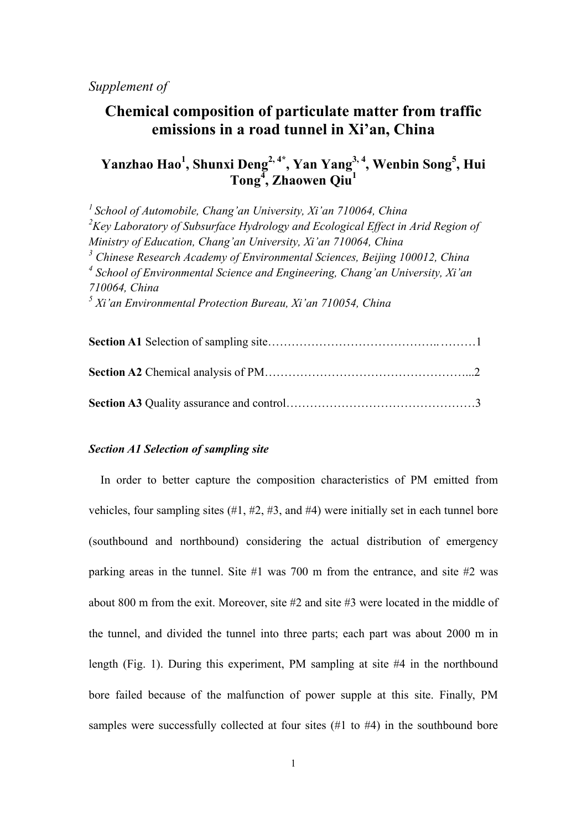# **Chemical composition of particulate matter from traffic emissions in a road tunnel in Xi'an, China**

# **Yanzhao Hao1 , Shunxi Deng2, 4\*, Yan Yang3, 4, Wenbin Song5 , Hui Tong<sup>4</sup> , Zhaowen Qiu<sup>1</sup>**

*1 School of Automobile, Chang'an University, Xi'an 710064, China*  <sup>2</sup>Key Laboratory of Subsurface Hydrology and Ecological Effect in Arid Region of *Ministry of Education, Chang'an University, Xi'an 710064, China*  <sup>3</sup> Chinese Research Academy of Environmental Sciences, Beijing 100012, China <sup>4</sup> School of Environmental Science and Engineering, Chang'an University, Xi'an *710064, China 5 Xi'an Environmental Protection Bureau, Xi'an 710054, China* 

## *Section A1 Selection of sampling site*

In order to better capture the composition characteristics of PM emitted from vehicles, four sampling sites (#1, #2, #3, and #4) were initially set in each tunnel bore (southbound and northbound) considering the actual distribution of emergency parking areas in the tunnel. Site #1 was 700 m from the entrance, and site #2 was about 800 m from the exit. Moreover, site #2 and site #3 were located in the middle of the tunnel, and divided the tunnel into three parts; each part was about 2000 m in length (Fig. 1). During this experiment, PM sampling at site #4 in the northbound bore failed because of the malfunction of power supple at this site. Finally, PM samples were successfully collected at four sites (#1 to #4) in the southbound bore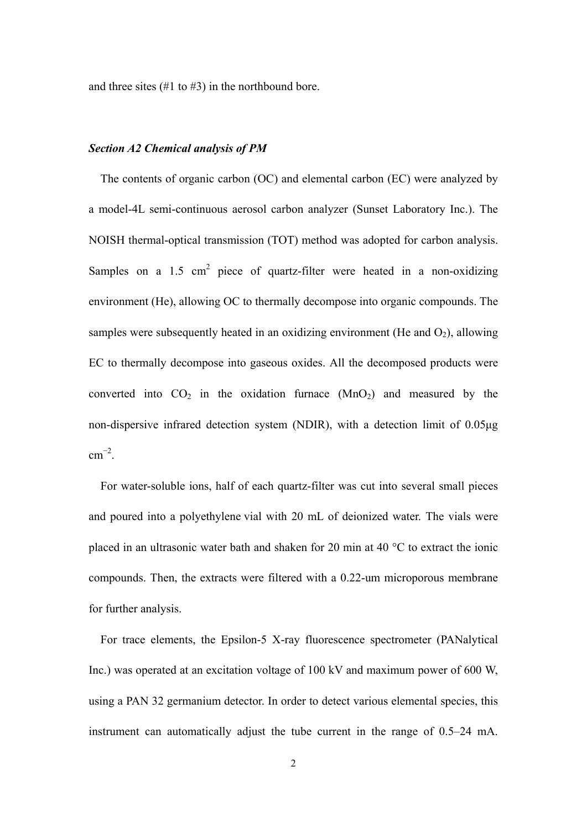and three sites  $(\#1 \text{ to } \#3)$  in the northbound bore.

### *Section A2 Chemical analysis of PM*

The contents of organic carbon (OC) and elemental carbon (EC) were analyzed by a model-4L semi-continuous aerosol carbon analyzer (Sunset Laboratory Inc.). The NOISH thermal-optical transmission (TOT) method was adopted for carbon analysis. Samples on a  $1.5 \text{ cm}^2$  piece of quartz-filter were heated in a non-oxidizing environment (He), allowing OC to thermally decompose into organic compounds. The samples were subsequently heated in an oxidizing environment (He and  $O_2$ ), allowing EC to thermally decompose into gaseous oxides. All the decomposed products were converted into  $CO<sub>2</sub>$  in the oxidation furnace  $(MnO<sub>2</sub>)$  and measured by the non-dispersive infrared detection system (NDIR), with a detection limit of 0.05μg  $\text{cm}^{-2}$ .

For water-soluble ions, half of each quartz-filter was cut into several small pieces and poured into a polyethylene vial with 20 mL of deionized water. The vials were placed in an ultrasonic water bath and shaken for 20 min at 40 °C to extract the ionic compounds. Then, the extracts were filtered with a 0.22-um microporous membrane for further analysis.

For trace elements, the Epsilon-5 X-ray fluorescence spectrometer (PANalytical Inc.) was operated at an excitation voltage of 100 kV and maximum power of 600 W, using a PAN 32 germanium detector. In order to detect various elemental species, this instrument can automatically adjust the tube current in the range of 0.5–24 mA.